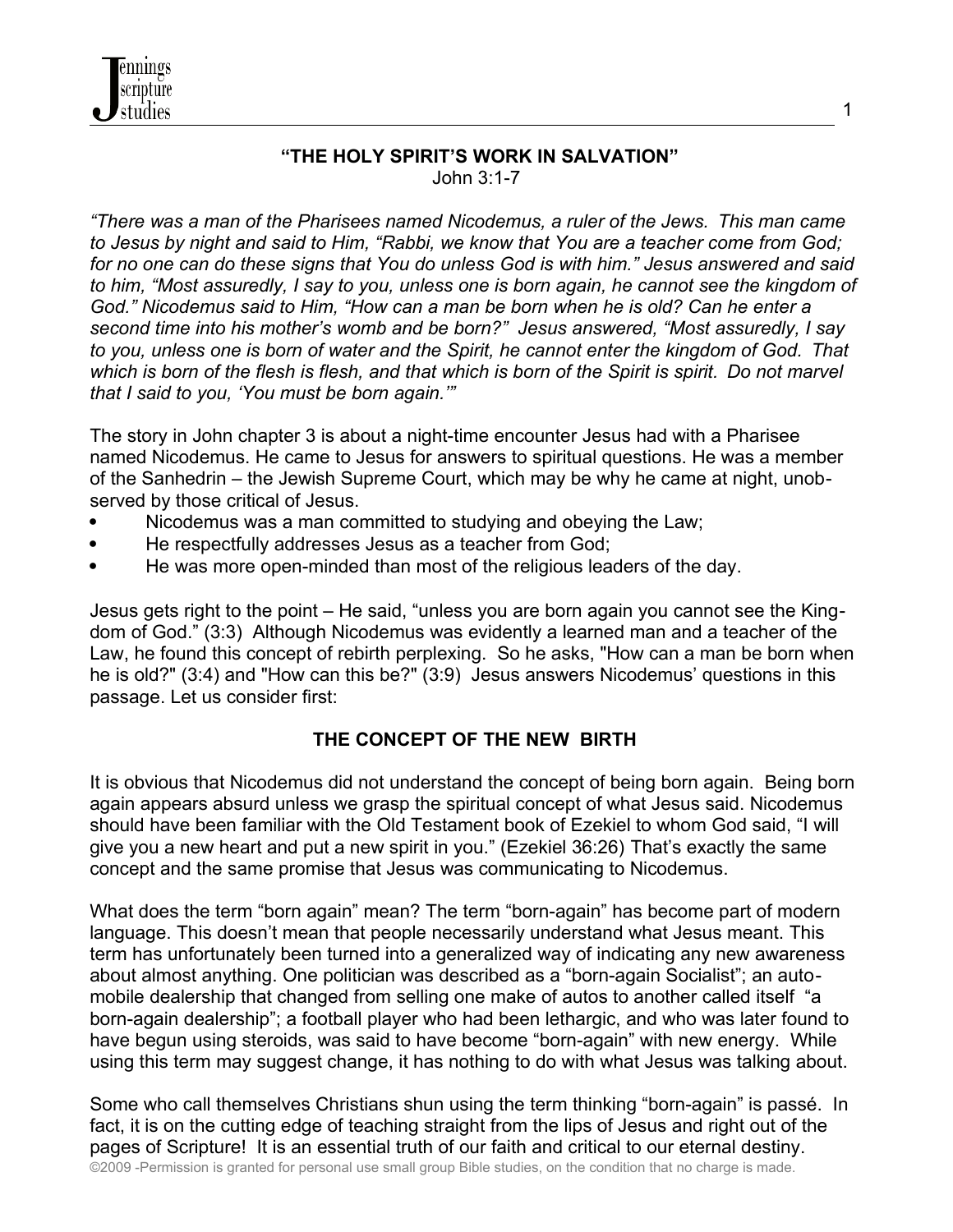

*"There was a man of the Pharisees named Nicodemus, a ruler of the Jews. This man came to Jesus by night and said to Him, "Rabbi, we know that You are a teacher come from God; for no one can do these signs that You do unless God is with him." Jesus answered and said to him, "Most assuredly, I say to you, unless one is born again, he cannot see the kingdom of God." Nicodemus said to Him, "How can a man be born when he is old? Can he enter a second time into his mother's womb and be born?" Jesus answered, "Most assuredly, I say to you, unless one is born of water and the Spirit, he cannot enter the kingdom of God. That which is born of the flesh is flesh, and that which is born of the Spirit is spirit. Do not marvel that I said to you, 'You must be born again.'"*

The story in John chapter 3 is about a night-time encounter Jesus had with a Pharisee named Nicodemus. He came to Jesus for answers to spiritual questions. He was a member of the Sanhedrin – the Jewish Supreme Court, which may be why he came at night, unobserved by those critical of Jesus.

- Nicodemus was a man committed to studying and obeying the Law;
- He respectfully addresses Jesus as a teacher from God;

nnings cripture studies

He was more open-minded than most of the religious leaders of the day.

Jesus gets right to the point – He said, "unless you are born again you cannot see the Kingdom of God." (3:3) Although Nicodemus was evidently a learned man and a teacher of the Law, he found this concept of rebirth perplexing. So he asks, "How can a man be born when he is old?" (3:4) and "How can this be?" (3:9) Jesus answers Nicodemus' questions in this passage. Let us consider first:

### **THE CONCEPT OF THE NEW BIRTH**

It is obvious that Nicodemus did not understand the concept of being born again. Being born again appears absurd unless we grasp the spiritual concept of what Jesus said. Nicodemus should have been familiar with the Old Testament book of Ezekiel to whom God said, "I will give you a new heart and put a new spirit in you." (Ezekiel 36:26) That's exactly the same concept and the same promise that Jesus was communicating to Nicodemus.

What does the term "born again" mean? The term "born-again" has become part of modern language. This doesn't mean that people necessarily understand what Jesus meant. This term has unfortunately been turned into a generalized way of indicating any new awareness about almost anything. One politician was described as a "born-again Socialist"; an automobile dealership that changed from selling one make of autos to another called itself "a born-again dealership"; a football player who had been lethargic, and who was later found to have begun using steroids, was said to have become "born-again" with new energy. While using this term may suggest change, it has nothing to do with what Jesus was talking about.

Some who call themselves Christians shun using the term thinking "born-again" is passé. In fact, it is on the cutting edge of teaching straight from the lips of Jesus and right out of the pages of Scripture! It is an essential truth of our faith and critical to our eternal destiny. ©2009 -Permission is granted for personal use small group Bible studies, on the condition that no charge is made.

1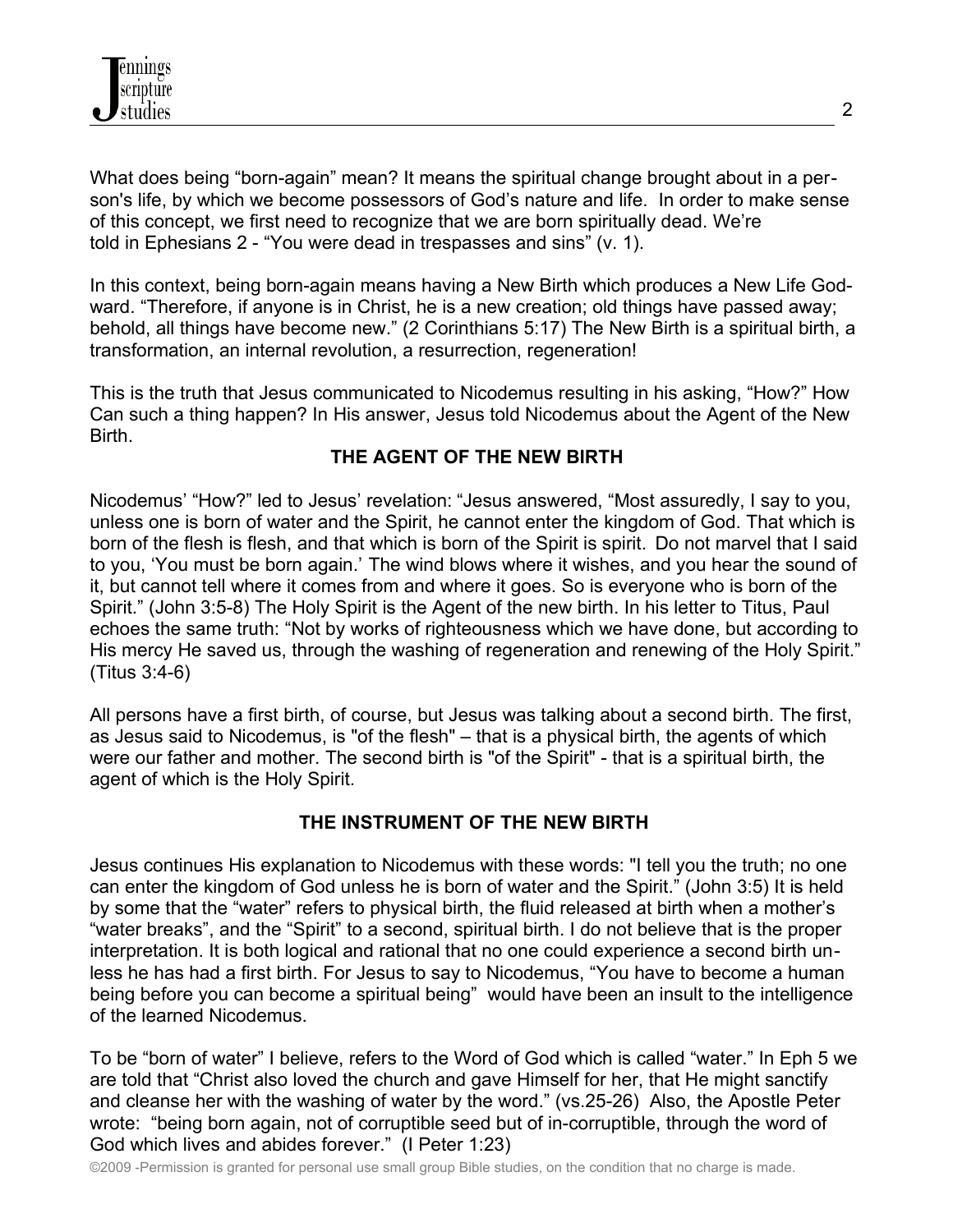What does being "born-again" mean? It means the spiritual change brought about in a person's life, by which we become possessors of God's nature and life. In order to make sense of this concept, we first need to recognize that we are born spiritually dead. We're told in Ephesians 2 - "You were dead in trespasses and sins" (v. 1).

In this context, being born-again means having a New Birth which produces a New Life Godward. "Therefore, if anyone is in Christ, he is a new creation; old things have passed away; behold, all things have become new." (2 Corinthians 5:17) The New Birth is a spiritual birth, a transformation, an internal revolution, a resurrection, regeneration!

This is the truth that Jesus communicated to Nicodemus resulting in his asking, "How?" How Can such a thing happen? In His answer, Jesus told Nicodemus about the Agent of the New Birth.

## **THE AGENT OF THE NEW BIRTH**

Nicodemus' "How?" led to Jesus' revelation: "Jesus answered, "Most assuredly, I say to you, unless one is born of water and the Spirit, he cannot enter the kingdom of God. That which is born of the flesh is flesh, and that which is born of the Spirit is spirit. Do not marvel that I said to you, 'You must be born again.' The wind blows where it wishes, and you hear the sound of it, but cannot tell where it comes from and where it goes. So is everyone who is born of the Spirit." (John 3:5-8) The Holy Spirit is the Agent of the new birth. In his letter to Titus, Paul echoes the same truth: "Not by works of righteousness which we have done, but according to His mercy He saved us, through the washing of regeneration and renewing of the Holy Spirit." (Titus 3:4-6)

All persons have a first birth, of course, but Jesus was talking about a second birth. The first, as Jesus said to Nicodemus, is "of the flesh" – that is a physical birth, the agents of which were our father and mother. The second birth is "of the Spirit" - that is a spiritual birth, the agent of which is the Holy Spirit.

### **THE INSTRUMENT OF THE NEW BIRTH**

Jesus continues His explanation to Nicodemus with these words: "I tell you the truth; no one can enter the kingdom of God unless he is born of water and the Spirit." (John 3:5) It is held by some that the "water" refers to physical birth, the fluid released at birth when a mother's "water breaks", and the "Spirit" to a second, spiritual birth. I do not believe that is the proper interpretation. It is both logical and rational that no one could experience a second birth unless he has had a first birth. For Jesus to say to Nicodemus, "You have to become a human being before you can become a spiritual being" would have been an insult to the intelligence of the learned Nicodemus.

To be "born of water" I believe, refers to the Word of God which is called "water." In Eph 5 we are told that "Christ also loved the church and gave Himself for her, that He might sanctify and cleanse her with the washing of water by the word." (vs.25-26) Also, the Apostle Peter wrote: "being born again, not of corruptible seed but of in-corruptible, through the word of God which lives and abides forever." (I Peter 1:23)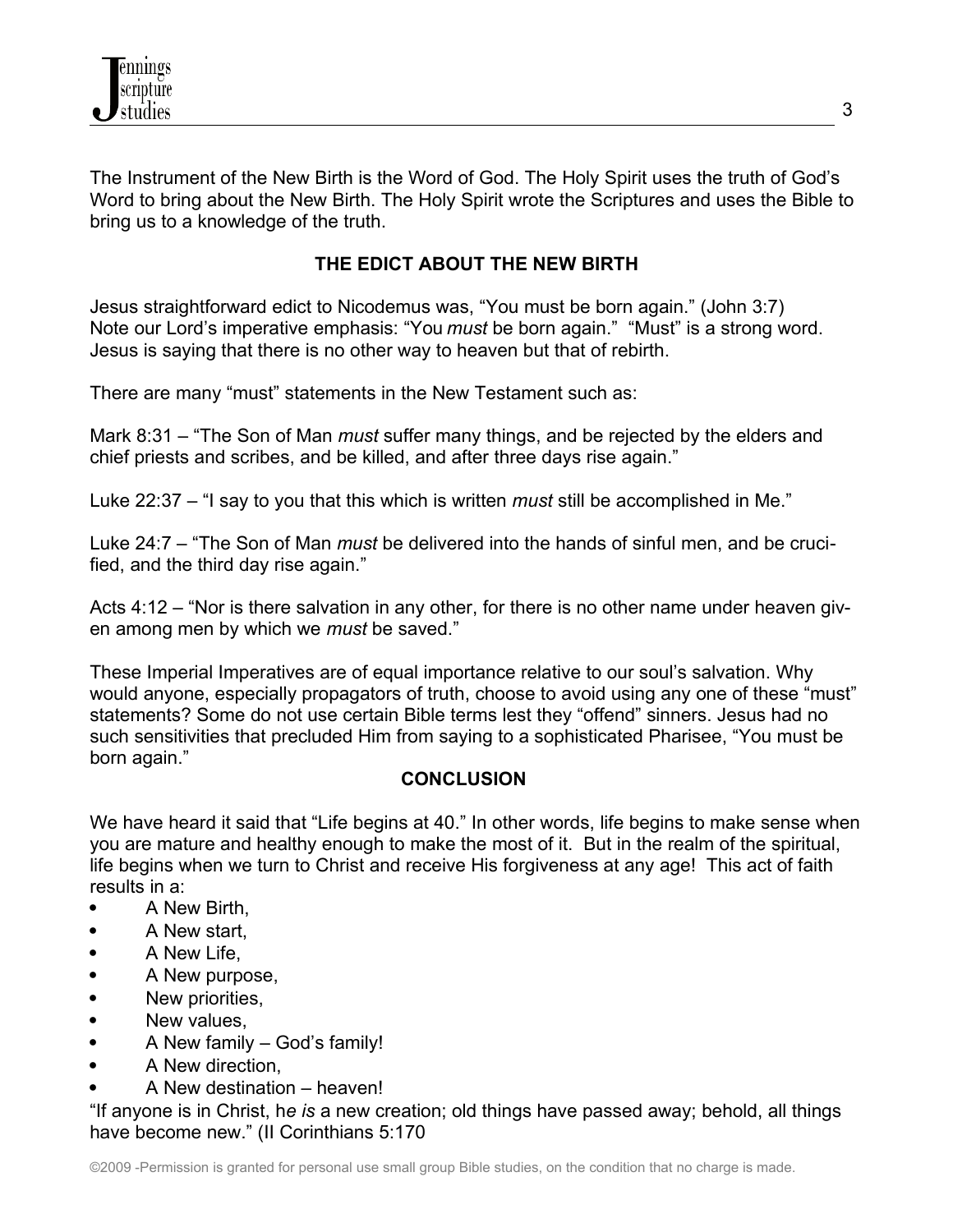The Instrument of the New Birth is the Word of God. The Holy Spirit uses the truth of God's Word to bring about the New Birth. The Holy Spirit wrote the Scriptures and uses the Bible to bring us to a knowledge of the truth.

# **THE EDICT ABOUT THE NEW BIRTH**

Jesus straightforward edict to Nicodemus was, "You must be born again." (John 3:7) Note our Lord's imperative emphasis: "You *must* be born again." "Must" is a strong word. Jesus is saying that there is no other way to heaven but that of rebirth.

There are many "must" statements in the New Testament such as:

Mark 8:31 – "The Son of Man *must* suffer many things, and be rejected by the elders and chief priests and scribes, and be killed, and after three days rise again."

Luke 22:37 – "I say to you that this which is written *must* still be accomplished in Me."

Luke 24:7 – "The Son of Man *must* be delivered into the hands of sinful men, and be crucified, and the third day rise again."

Acts 4:12 – "Nor is there salvation in any other, for there is no other name under heaven given among men by which we *must* be saved."

These Imperial Imperatives are of equal importance relative to our soul's salvation. Why would anyone, especially propagators of truth, choose to avoid using any one of these "must" statements? Some do not use certain Bible terms lest they "offend" sinners. Jesus had no such sensitivities that precluded Him from saying to a sophisticated Pharisee, "You must be born again."

### **CONCLUSION**

We have heard it said that "Life begins at 40." In other words, life begins to make sense when you are mature and healthy enough to make the most of it. But in the realm of the spiritual, life begins when we turn to Christ and receive His forgiveness at any age! This act of faith results in a:

- A New Birth,
- A New start,
- A New Life,
- A New purpose,
- New priorities,
- New values.
- A New family God's family!
- A New direction.
- A New destination heaven!

"If anyone is in Christ, h*e is* a new creation; old things have passed away; behold, all things have become new." (II Corinthians 5:170